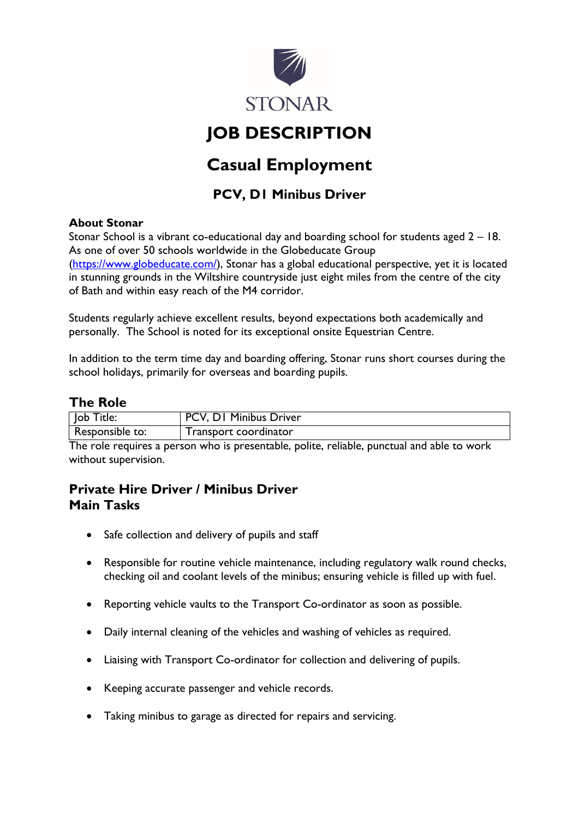

# **JOB DESCRIPTION**

## **Casual Employment**

## **PCV, D1 Minibus Driver**

#### **About Stonar**

Stonar School is a vibrant co-educational day and boarding school for students aged 2 – 18. As one of over 50 schools worldwide in the Globeducate Group [\(https://www.globeducate.com/\)](https://www.globeducate.com/), Stonar has a global educational perspective, yet it is located in stunning grounds in the Wiltshire countryside just eight miles from the centre of the city of Bath and within easy reach of the M4 corridor.

Students regularly achieve excellent results, beyond expectations both academically and personally. The School is noted for its exceptional onsite Equestrian Centre.

In addition to the term time day and boarding offering, Stonar runs short courses during the school holidays, primarily for overseas and boarding pupils.

## **The Role**

| lob Title:      | PCV, D1 Minibus Driver |
|-----------------|------------------------|
| Responsible to: | Transport coordinator  |
|                 |                        |

The role requires a person who is presentable, polite, reliable, punctual and able to work without supervision.

## **Private Hire Driver / Minibus Driver Main Tasks**

- Safe collection and delivery of pupils and staff
- Responsible for routine vehicle maintenance, including regulatory walk round checks, checking oil and coolant levels of the minibus; ensuring vehicle is filled up with fuel.
- Reporting vehicle vaults to the Transport Co-ordinator as soon as possible.
- Daily internal cleaning of the vehicles and washing of vehicles as required.
- Liaising with Transport Co-ordinator for collection and delivering of pupils.
- Keeping accurate passenger and vehicle records.
- Taking minibus to garage as directed for repairs and servicing.